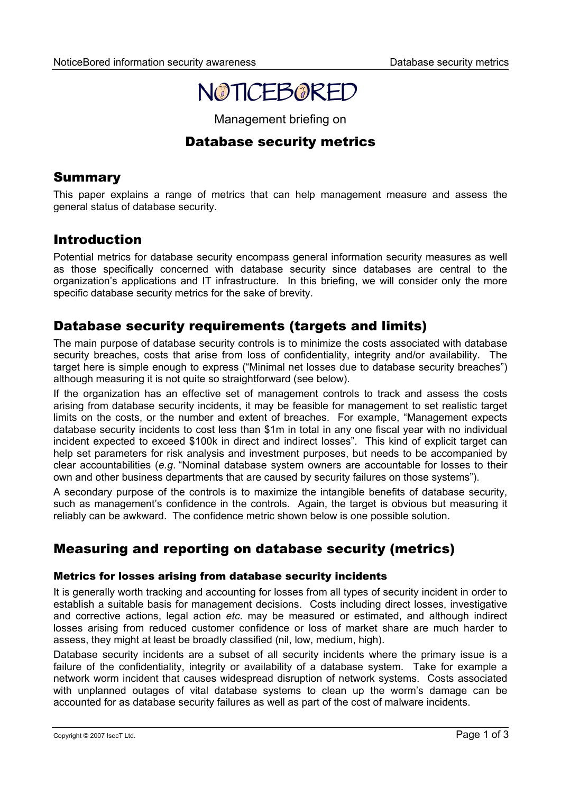

Management briefing on

## Database security metrics

## Summary

This paper explains a range of metrics that can help management measure and assess the general status of database security.

## Introduction

Potential metrics for database security encompass general information security measures as well as those specifically concerned with database security since databases are central to the organization's applications and IT infrastructure. In this briefing, we will consider only the more specific database security metrics for the sake of brevity.

## Database security requirements (targets and limits)

The main purpose of database security controls is to minimize the costs associated with database security breaches, costs that arise from loss of confidentiality, integrity and/or availability. The target here is simple enough to express ("Minimal net losses due to database security breaches") although measuring it is not quite so straightforward (see below).

If the organization has an effective set of management controls to track and assess the costs arising from database security incidents, it may be feasible for management to set realistic target limits on the costs, or the number and extent of breaches. For example, "Management expects database security incidents to cost less than \$1m in total in any one fiscal year with no individual incident expected to exceed \$100k in direct and indirect losses". This kind of explicit target can help set parameters for risk analysis and investment purposes, but needs to be accompanied by clear accountabilities (*e.g*. "Nominal database system owners are accountable for losses to their own and other business departments that are caused by security failures on those systems").

A secondary purpose of the controls is to maximize the intangible benefits of database security, such as management's confidence in the controls. Again, the target is obvious but measuring it reliably can be awkward. The confidence metric shown below is one possible solution.

# Measuring and reporting on database security (metrics)

### Metrics for losses arising from database security incidents

It is generally worth tracking and accounting for losses from all types of security incident in order to establish a suitable basis for management decisions. Costs including direct losses, investigative and corrective actions, legal action *etc*. may be measured or estimated, and although indirect losses arising from reduced customer confidence or loss of market share are much harder to assess, they might at least be broadly classified (nil, low, medium, high).

Database security incidents are a subset of all security incidents where the primary issue is a failure of the confidentiality, integrity or availability of a database system. Take for example a network worm incident that causes widespread disruption of network systems. Costs associated with unplanned outages of vital database systems to clean up the worm's damage can be accounted for as database security failures as well as part of the cost of malware incidents.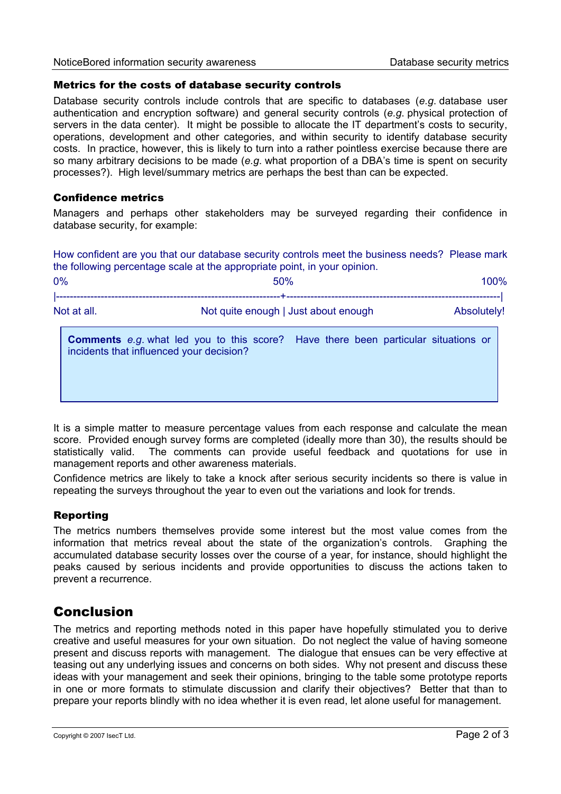#### Metrics for the costs of database security controls

Database security controls include controls that are specific to databases (*e.g*. database user authentication and encryption software) and general security controls (*e.g*. physical protection of servers in the data center). It might be possible to allocate the IT department's costs to security, operations, development and other categories, and within security to identify database security costs. In practice, however, this is likely to turn into a rather pointless exercise because there are so many arbitrary decisions to be made (*e.g*. what proportion of a DBA's time is spent on security processes?). High level/summary metrics are perhaps the best than can be expected.

#### Confidence metrics

Managers and perhaps other stakeholders may be surveyed regarding their confidence in database security, for example:

How confident are you that our database security controls meet the business needs? Please mark the following percentage scale at the appropriate point, in your opinion.

| 0%<br>50%                                                                                                                             |                                      |  |  |  | 100%        |  |  |
|---------------------------------------------------------------------------------------------------------------------------------------|--------------------------------------|--|--|--|-------------|--|--|
| Not at all.                                                                                                                           | Not quite enough   Just about enough |  |  |  | Absolutely! |  |  |
| <b>Comments</b> e.g. what led you to this score? Have there been particular situations or<br>incidents that influenced your decision? |                                      |  |  |  |             |  |  |

It is a simple matter to measure percentage values from each response and calculate the mean score. Provided enough survey forms are completed (ideally more than 30), the results should be statistically valid. The comments can provide useful feedback and quotations for use in management reports and other awareness materials.

Confidence metrics are likely to take a knock after serious security incidents so there is value in repeating the surveys throughout the year to even out the variations and look for trends.

#### Reporting

The metrics numbers themselves provide some interest but the most value comes from the information that metrics reveal about the state of the organization's controls. Graphing the accumulated database security losses over the course of a year, for instance, should highlight the peaks caused by serious incidents and provide opportunities to discuss the actions taken to prevent a recurrence.

## Conclusion

The metrics and reporting methods noted in this paper have hopefully stimulated you to derive creative and useful measures for your own situation. Do not neglect the value of having someone present and discuss reports with management. The dialogue that ensues can be very effective at teasing out any underlying issues and concerns on both sides. Why not present and discuss these ideas with your management and seek their opinions, bringing to the table some prototype reports in one or more formats to stimulate discussion and clarify their objectives? Better that than to prepare your reports blindly with no idea whether it is even read, let alone useful for management.